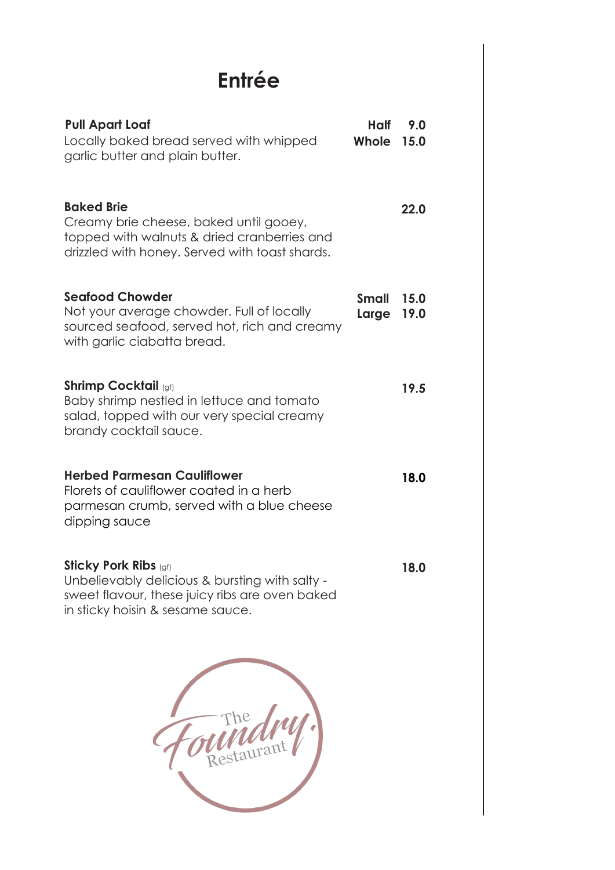## **Entrée**

| <b>Pull Apart Loaf</b><br>Locally baked bread served with whipped<br>garlic butter and plain butter.                                                                 | Half<br>Whole         | 9.0<br>15.0  |
|----------------------------------------------------------------------------------------------------------------------------------------------------------------------|-----------------------|--------------|
| <b>Baked Brie</b><br>Creamy brie cheese, baked until gooey,<br>topped with walnuts & dried cranberries and<br>drizzled with honey. Served with toast shards.         |                       | 22.0         |
| <b>Segfood Chowder</b><br>Not your average chowder. Full of locally<br>sourced seafood, served hot, rich and creamy<br>with garlic ciabatta bread.                   | <b>Small</b><br>Large | 15.0<br>19.0 |
| <b>Shrimp Cocktail (gf)</b><br>Baby shrimp nestled in lettuce and tomato<br>salad, topped with our very special creamy<br>brandy cocktail sauce.                     |                       | 19.5         |
| <b>Herbed Parmesan Cauliflower</b><br>Florets of cauliflower coated in a herb<br>parmesan crumb, served with a blue cheese<br>dipping sauce                          |                       | 18.0         |
| <b>Sticky Pork Ribs (gf)</b><br>Unbelievably delicious & bursting with salty -<br>sweet flavour, these juicy ribs are oven baked<br>in sticky hoisin & sesame sauce. |                       | 18.0         |
|                                                                                                                                                                      |                       |              |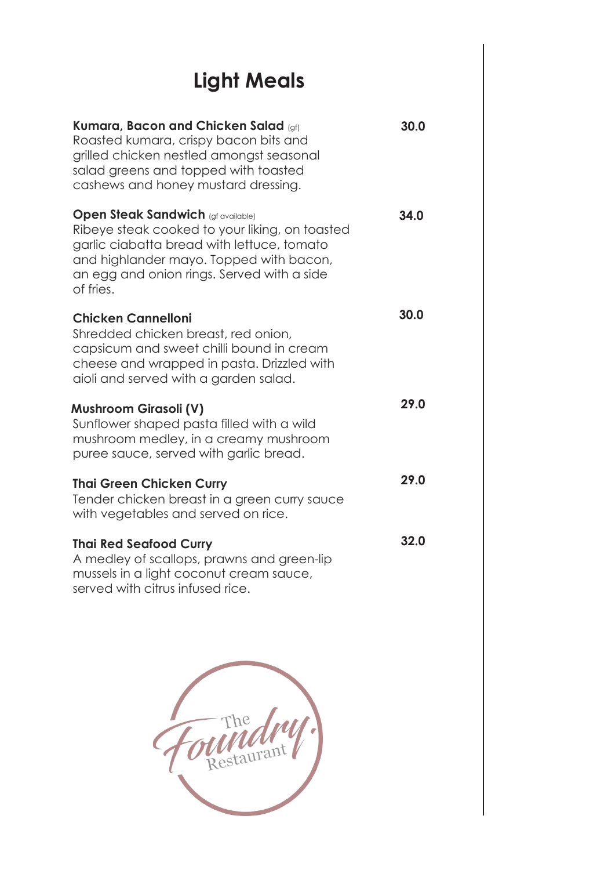# **Light Meals**

| Kumara, Bacon and Chicken Salad (gf)<br>Roasted kumara, crispy bacon bits and<br>grilled chicken nestled amongst seasonal<br>salad greens and topped with toasted<br>cashews and honey mustard dressing.                                        | 30.0 |
|-------------------------------------------------------------------------------------------------------------------------------------------------------------------------------------------------------------------------------------------------|------|
| <b>Open Steak Sandwich (gf available)</b><br>Ribeye steak cooked to your liking, on toasted<br>garlic ciabatta bread with lettuce, tomato<br>and highlander mayo. Topped with bacon,<br>an egg and onion rings. Served with a side<br>of fries. | 34.0 |
| <b>Chicken Cannelloni</b><br>Shredded chicken breast, red onion,<br>capsicum and sweet chilli bound in cream<br>cheese and wrapped in pasta. Drizzled with<br>aioli and served with a garden salad.                                             | 30.0 |
| <b>Mushroom Girasoli (V)</b><br>Sunflower shaped pasta filled with a wild<br>mushroom medley, in a creamy mushroom<br>puree sauce, served with garlic bread.                                                                                    | 29.0 |
| <b>Thai Green Chicken Curry</b><br>Tender chicken breast in a green curry sauce<br>with vegetables and served on rice.                                                                                                                          | 29.0 |
| <b>Thai Red Seafood Curry</b><br>A medley of scallops, prawns and green-lip<br>mussels in a light coconut cream sauce,<br>served with citrus infused rice.                                                                                      | 32.0 |

The Restaurant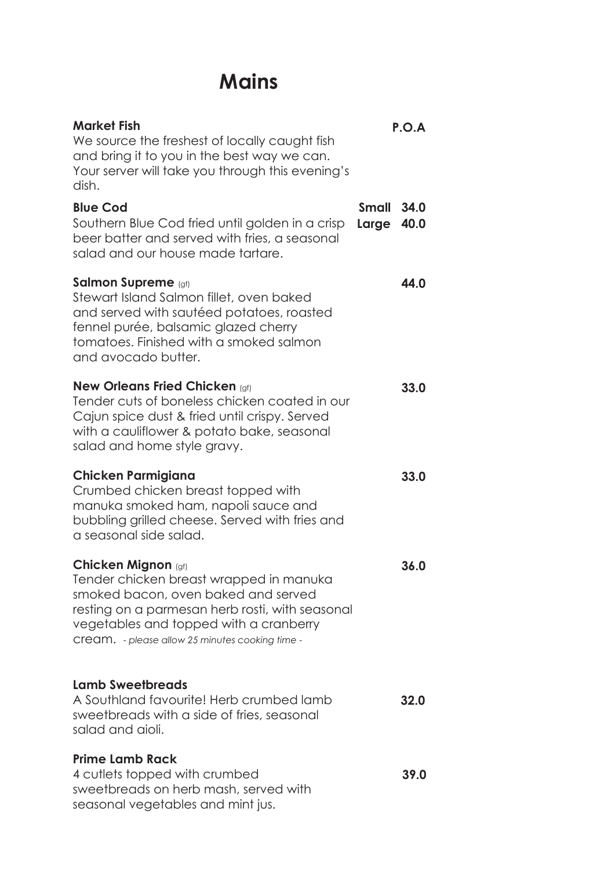### **Mains**

| <b>Market Fish</b><br>We source the freshest of locally caught fish<br>and bring it to you in the best way we can.<br>Your server will take you through this evening's<br>dish.                                                                              |                       | P.O.A        |
|--------------------------------------------------------------------------------------------------------------------------------------------------------------------------------------------------------------------------------------------------------------|-----------------------|--------------|
| <b>Blue Cod</b><br>Southern Blue Cod fried until golden in a crisp<br>beer batter and served with fries, a seasonal<br>salad and our house made tartare.                                                                                                     | <b>Small</b><br>Large | 34.0<br>40.0 |
| <b>Salmon Supreme</b> (gf)<br>Stewart Island Salmon fillet, oven baked<br>and served with sautéed potatoes, roasted<br>fennel purée, balsamic glazed cherry<br>tomatoes. Finished with a smoked salmon<br>and avocado butter.                                |                       | 44.0         |
| <b>New Orleans Fried Chicken (gf)</b><br>Tender cuts of boneless chicken coated in our<br>Cajun spice dust & fried until crispy. Served<br>with a cauliflower & potato bake, seasonal<br>salad and home style gravy.                                         |                       | 33.0         |
| <b>Chicken Parmigiana</b><br>Crumbed chicken breast topped with<br>manuka smoked ham, napoli sauce and<br>bubbling grilled cheese. Served with fries and<br>a seasonal side salad.                                                                           |                       | 33.0         |
| <b>Chicken Mignon (gf)</b><br>Tender chicken breast wrapped in manuka<br>smoked bacon, oven baked and served<br>resting on a parmesan herb rosti, with seasonal<br>vegetables and topped with a cranberry<br>Cream. - please allow 25 minutes cooking time - |                       | 36.0         |
| <b>Lamb Sweetbreads</b><br>A Southland favourite! Herb crumbed lamb<br>sweetbreads with a side of fries, seasonal<br>salad and aioli.                                                                                                                        |                       | 32.0         |
| <b>Prime Lamb Rack</b><br>4 cutlets topped with crumbed<br>sweetbreads on herb mash, served with<br>seasonal vegetables and mint jus.                                                                                                                        |                       | 39.0         |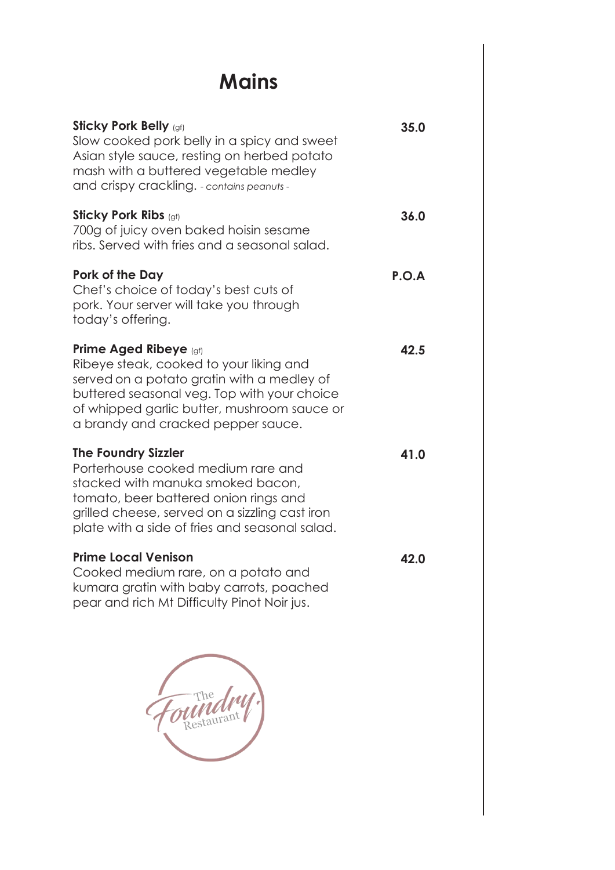### **Mains**

| <b>Sticky Pork Belly (gf)</b><br>Slow cooked pork belly in a spicy and sweet<br>Asian style sauce, resting on herbed potato<br>mash with a buttered vegetable medley<br>and crispy crackling. - contains peanuts -                                         | 35.0  |
|------------------------------------------------------------------------------------------------------------------------------------------------------------------------------------------------------------------------------------------------------------|-------|
| <b>Sticky Pork Ribs (gf)</b><br>700g of juicy oven baked hoisin sesame<br>ribs. Served with fries and a seasonal salad.                                                                                                                                    | 36.0  |
| Pork of the Day<br>Chef's choice of today's best cuts of<br>pork. Your server will take you through<br>today's offering.                                                                                                                                   | P.O.A |
| <b>Prime Aged Ribeye</b> (gf)<br>Ribeye steak, cooked to your liking and<br>served on a potato gratin with a medley of<br>buttered seasonal veg. Top with your choice<br>of whipped garlic butter, mushroom sauce or<br>a brandy and cracked pepper sauce. | 42.5  |
| <b>The Foundry Sizzler</b><br>Porterhouse cooked medium rare and<br>stacked with manuka smoked bacon,<br>tomato, beer battered onion rings and<br>grilled cheese, served on a sizzling cast iron<br>plate with a side of fries and seasonal salad.         | 41.0  |
| <b>Prime Local Venison</b><br>Cooked medium rare, on a potato and<br>kumara gratin with baby carrots, poached<br>pear and rich Mt Difficulty Pinot Noir jus.                                                                                               | 42.0  |
|                                                                                                                                                                                                                                                            |       |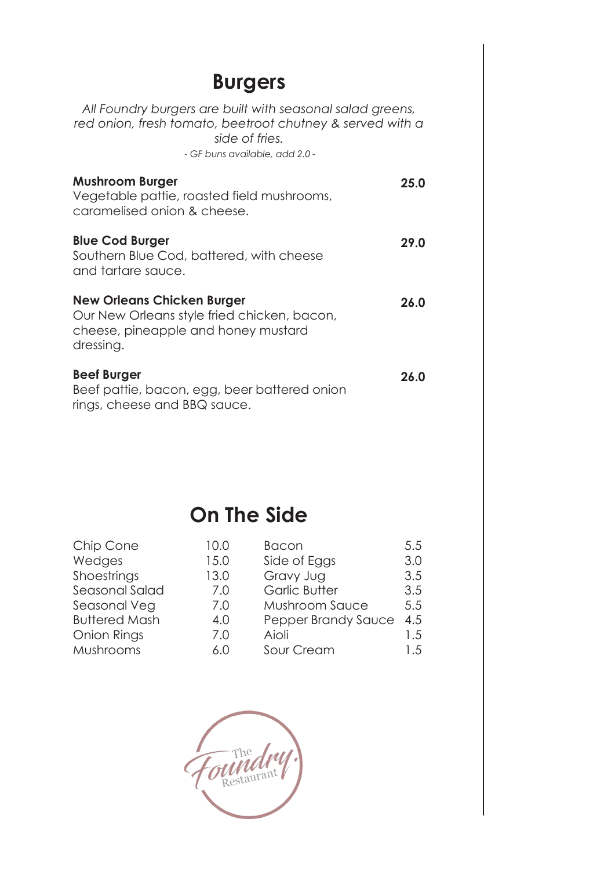#### **Burgers**

*All Foundry burgers are built with seasonal salad greens, red onion, fresh tomato, beetroot chutney & served with a side of fries.* - *GF buns available, add 2.0 -* **Mushroom Burger**

| <b>Mushroom Burger</b><br>Vegetable pattie, roasted field mushrooms,<br>caramelised onion & cheese.                                  | 25.0 |
|--------------------------------------------------------------------------------------------------------------------------------------|------|
| <b>Blue Cod Burger</b><br>Southern Blue Cod, battered, with cheese<br>and tartare sauce.                                             | 29.0 |
| <b>New Orleans Chicken Burger</b><br>Our New Orleans style fried chicken, bacon,<br>cheese, pineapple and honey mustard<br>dressing. | 26.0 |
| <b>Beef Burger</b><br>Beef pattie, bacon, egg, beer battered onion<br>rings, cheese and BBQ sauce.                                   | 26.0 |

#### **On The Side**

| Chip Cone            | 10.0 | <b>Bacon</b>          | 5.5 |
|----------------------|------|-----------------------|-----|
| Wedges               | 15.0 | Side of Eggs          | 3.0 |
| Shoestrings          | 13.0 | Gravy Jug             | 3.5 |
| Seasonal Salad       | 7.0  | <b>Garlic Butter</b>  | 3.5 |
| Seasonal Veg         | 7.0  | <b>Mushroom Sauce</b> | 5.5 |
| <b>Buttered Mash</b> | 4.0  | Pepper Brandy Sauce   | 4.5 |
| Onion Rings          | 7.0  | Aioli                 | 1.5 |
| Mushrooms            | 6.0  | Sour Cream            | 1.5 |